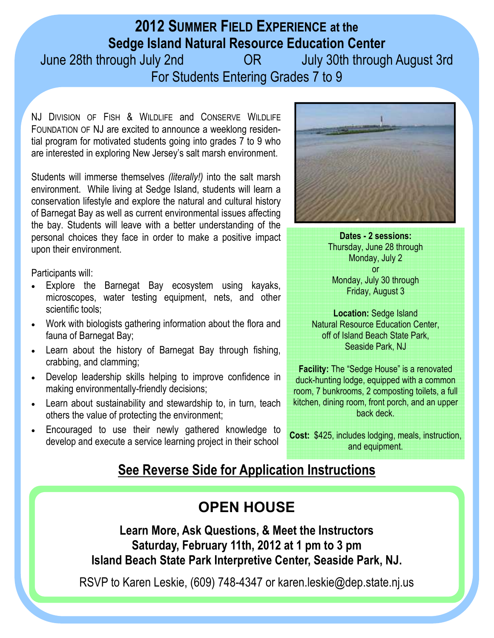## **2012 SUMMER FIELD EXPERIENCE at the Sedge Island Natural Resource Education Center**

June 28th through July 2nd OR July 30th through August 3rd For Students Entering Grades 7 to 9

NJ DIVISION OF FISH & WILDLIFE and CONSERVE WILDLIFE FOUNDATION OF NJ are excited to announce a weeklong residential program for motivated students going into grades 7 to 9 who are interested in exploring New Jersey's salt marsh environment.

Students will immerse themselves *(literally!)* into the salt marsh environment. While living at Sedge Island, students will learn a conservation lifestyle and explore the natural and cultural history of Barnegat Bay as well as current environmental issues affecting the bay. Students will leave with a better understanding of the personal choices they face in order to make a positive impact upon their environment.

Participants will:

- Explore the Barnegat Bay ecosystem using kayaks, microscopes, water testing equipment, nets, and other scientific tools;
- Work with biologists gathering information about the flora and fauna of Barnegat Bay;
- Learn about the history of Barnegat Bay through fishing, crabbing, and clamming;
- Develop leadership skills helping to improve confidence in making environmentally-friendly decisions;
- Learn about sustainability and stewardship to, in turn, teach others the value of protecting the environment;
- Encouraged to use their newly gathered knowledge to develop and execute a service learning project in their school



**Dates - 2 sessions:**  Thursday, June 28 through Monday, July 2 or Monday, July 30 through Friday, August 3

**Location:** Sedge Island Natural Resource Education Center, off of Island Beach State Park, Seaside Park, NJ

**Facility:** The "Sedge House" is a renovated duck-hunting lodge, equipped with a common room, 7 bunkrooms, 2 composting toilets, a full kitchen, dining room, front porch, and an upper back deck.

**Cost:** \$425, includes lodging, meals, instruction, and equipment.

## **See Reverse Side for Application Instructions**

## **OPEN HOUSE**

**Learn More, Ask Questions, & Meet the Instructors Saturday, February 11th, 2012 at 1 pm to 3 pm Island Beach State Park Interpretive Center, Seaside Park, NJ.**

RSVP to Karen Leskie, (609) 748-4347 or karen.leskie@dep.state.nj.us